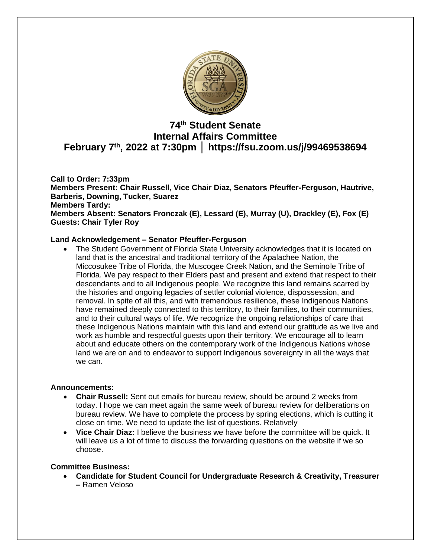

# **74 th Student Senate Internal Affairs Committee February 7th, 2022 at 7:30pm │ https://fsu.zoom.us/j/99469538694**

#### **Call to Order: 7:33pm Members Present: Chair Russell, Vice Chair Diaz, Senators Pfeuffer-Ferguson, Hautrive, Barberis, Downing, Tucker, Suarez Members Tardy: Members Absent: Senators Fronczak (E), Lessard (E), Murray (U), Drackley (E), Fox (E) Guests: Chair Tyler Roy**

# **Land Acknowledgement – Senator Pfeuffer-Ferguson**

• The Student Government of Florida State University acknowledges that it is located on land that is the ancestral and traditional territory of the Apalachee Nation, the Miccosukee Tribe of Florida, the Muscogee Creek Nation, and the Seminole Tribe of Florida. We pay respect to their Elders past and present and extend that respect to their descendants and to all Indigenous people. We recognize this land remains scarred by the histories and ongoing legacies of settler colonial violence, dispossession, and removal. In spite of all this, and with tremendous resilience, these Indigenous Nations have remained deeply connected to this territory, to their families, to their communities, and to their cultural ways of life. We recognize the ongoing relationships of care that these Indigenous Nations maintain with this land and extend our gratitude as we live and work as humble and respectful guests upon their territory. We encourage all to learn about and educate others on the contemporary work of the Indigenous Nations whose land we are on and to endeavor to support Indigenous sovereignty in all the ways that we can.

# **Announcements:**

- **Chair Russell:** Sent out emails for bureau review, should be around 2 weeks from today. I hope we can meet again the same week of bureau review for deliberations on bureau review. We have to complete the process by spring elections, which is cutting it close on time. We need to update the list of questions. Relatively
- **Vice Chair Diaz:** I believe the business we have before the committee will be quick. It will leave us a lot of time to discuss the forwarding questions on the website if we so choose.

# **Committee Business:**

• **Candidate for Student Council for Undergraduate Research & Creativity, Treasurer –** Ramen Veloso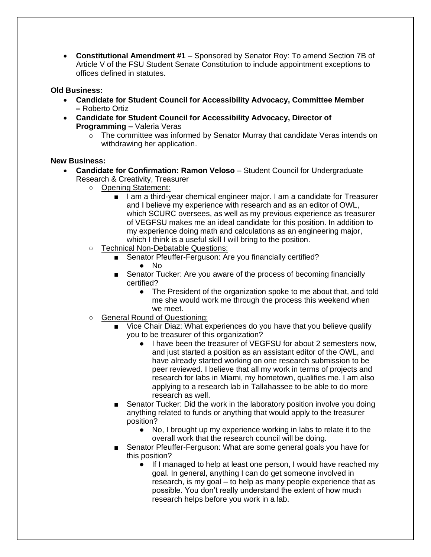• **Constitutional Amendment #1** – Sponsored by Senator Roy: To amend Section 7B of Article V of the FSU Student Senate Constitution to include appointment exceptions to offices defined in statutes.

# **Old Business:**

- **Candidate for Student Council for Accessibility Advocacy, Committee Member –** Roberto Ortiz
- **Candidate for Student Council for Accessibility Advocacy, Director of Programming –** Valeria Veras
	- $\circ$  The committee was informed by Senator Murray that candidate Veras intends on withdrawing her application.

#### **New Business:**

- **Candidate for Confirmation: Ramon Veloso** Student Council for Undergraduate Research & Creativity, Treasurer
	- Opening Statement:
		- I am a third-year chemical engineer major. I am a candidate for Treasurer and I believe my experience with research and as an editor of OWL, which SCURC oversees, as well as my previous experience as treasurer of VEGFSU makes me an ideal candidate for this position. In addition to my experience doing math and calculations as an engineering major, which I think is a useful skill I will bring to the position.
	- Technical Non-Debatable Questions:
		- Senator Pfeuffer-Ferguson: Are you financially certified?  $\bullet$  No
		- Senator Tucker: Are you aware of the process of becoming financially certified?
			- The President of the organization spoke to me about that, and told me she would work me through the process this weekend when we meet.
	- General Round of Questioning:
		- Vice Chair Diaz: What experiences do you have that you believe qualify you to be treasurer of this organization?
			- I have been the treasurer of VEGFSU for about 2 semesters now, and just started a position as an assistant editor of the OWL, and have already started working on one research submission to be peer reviewed. I believe that all my work in terms of projects and research for labs in Miami, my hometown, qualifies me. I am also applying to a research lab in Tallahassee to be able to do more research as well.
		- Senator Tucker: Did the work in the laboratory position involve you doing anything related to funds or anything that would apply to the treasurer position?
			- No, I brought up my experience working in labs to relate it to the overall work that the research council will be doing.
		- Senator Pfeuffer-Ferguson: What are some general goals you have for this position?
			- If I managed to help at least one person, I would have reached my goal. In general, anything I can do get someone involved in research, is my goal – to help as many people experience that as possible. You don't really understand the extent of how much research helps before you work in a lab.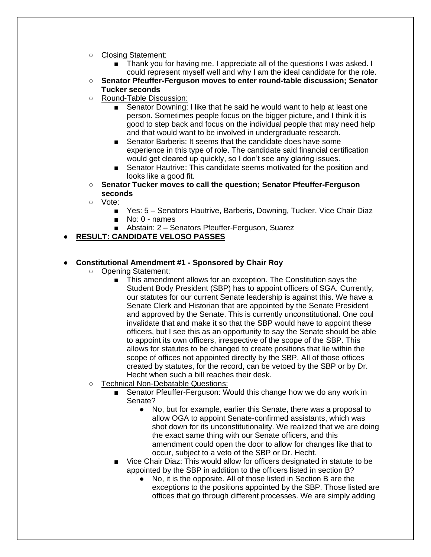- Closing Statement:
	- Thank you for having me. I appreciate all of the questions I was asked. I could represent myself well and why I am the ideal candidate for the role.
- **Senator Pfeuffer-Ferguson moves to enter round-table discussion; Senator Tucker seconds**
- Round-Table Discussion:
	- Senator Downing: I like that he said he would want to help at least one person. Sometimes people focus on the bigger picture, and I think it is good to step back and focus on the individual people that may need help and that would want to be involved in undergraduate research.
	- Senator Barberis: It seems that the candidate does have some experience in this type of role. The candidate said financial certification would get cleared up quickly, so I don't see any glaring issues.
	- Senator Hautrive: This candidate seems motivated for the position and looks like a good fit.
- **Senator Tucker moves to call the question; Senator Pfeuffer-Ferguson seconds**
- Vote:
	- Yes: 5 Senators Hautrive, Barberis, Downing, Tucker, Vice Chair Diaz
	- No: 0 names
	- Abstain: 2 Senators Pfeuffer-Ferguson, Suarez
- **RESULT: CANDIDATE VELOSO PASSES**

#### ● **Constitutional Amendment #1 - Sponsored by Chair Roy**

- Opening Statement:
	- This amendment allows for an exception. The Constitution says the Student Body President (SBP) has to appoint officers of SGA. Currently, our statutes for our current Senate leadership is against this. We have a Senate Clerk and Historian that are appointed by the Senate President and approved by the Senate. This is currently unconstitutional. One coul invalidate that and make it so that the SBP would have to appoint these officers, but I see this as an opportunity to say the Senate should be able to appoint its own officers, irrespective of the scope of the SBP. This allows for statutes to be changed to create positions that lie within the scope of offices not appointed directly by the SBP. All of those offices created by statutes, for the record, can be vetoed by the SBP or by Dr. Hecht when such a bill reaches their desk.
- Technical Non-Debatable Questions:
	- Senator Pfeuffer-Ferguson: Would this change how we do any work in Senate?
		- No, but for example, earlier this Senate, there was a proposal to allow OGA to appoint Senate-confirmed assistants, which was shot down for its unconstitutionality. We realized that we are doing the exact same thing with our Senate officers, and this amendment could open the door to allow for changes like that to occur, subject to a veto of the SBP or Dr. Hecht.
	- Vice Chair Diaz: This would allow for officers designated in statute to be appointed by the SBP in addition to the officers listed in section B?
		- No, it is the opposite. All of those listed in Section B are the exceptions to the positions appointed by the SBP. Those listed are offices that go through different processes. We are simply adding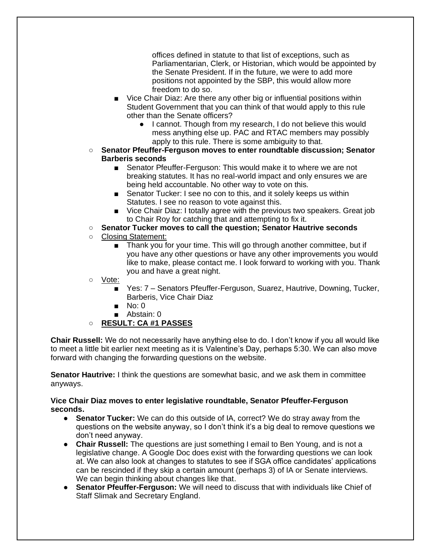offices defined in statute to that list of exceptions, such as Parliamentarian, Clerk, or Historian, which would be appointed by the Senate President. If in the future, we were to add more positions not appointed by the SBP, this would allow more freedom to do so.

- Vice Chair Diaz: Are there any other big or influential positions within Student Government that you can think of that would apply to this rule other than the Senate officers?
	- I cannot. Though from my research, I do not believe this would mess anything else up. PAC and RTAC members may possibly apply to this rule. There is some ambiguity to that.
- **Senator Pfeuffer-Ferguson moves to enter roundtable discussion; Senator Barberis seconds**
	- Senator Pfeuffer-Ferguson: This would make it to where we are not breaking statutes. It has no real-world impact and only ensures we are being held accountable. No other way to vote on this.
	- Senator Tucker: I see no con to this, and it solely keeps us within Statutes. I see no reason to vote against this.
	- Vice Chair Diaz: I totally agree with the previous two speakers. Great job to Chair Roy for catching that and attempting to fix it.
- **Senator Tucker moves to call the question; Senator Hautrive seconds**
- Closing Statement:
	- Thank you for your time. This will go through another committee, but if you have any other questions or have any other improvements you would like to make, please contact me. I look forward to working with you. Thank you and have a great night.
- Vote:
	- Yes: 7 Senators Pfeuffer-Ferguson, Suarez, Hautrive, Downing, Tucker, Barberis, Vice Chair Diaz
	- No: 0
	- Abstain: 0
- **RESULT: CA #1 PASSES**

**Chair Russell:** We do not necessarily have anything else to do. I don't know if you all would like to meet a little bit earlier next meeting as it is Valentine's Day, perhaps 5:30. We can also move forward with changing the forwarding questions on the website.

**Senator Hautrive:** I think the questions are somewhat basic, and we ask them in committee anyways.

#### **Vice Chair Diaz moves to enter legislative roundtable, Senator Pfeuffer-Ferguson seconds.**

- **Senator Tucker:** We can do this outside of IA, correct? We do stray away from the questions on the website anyway, so I don't think it's a big deal to remove questions we don't need anyway.
- **Chair Russell:** The questions are just something I email to Ben Young, and is not a legislative change. A Google Doc does exist with the forwarding questions we can look at. We can also look at changes to statutes to see if SGA office candidates' applications can be rescinded if they skip a certain amount (perhaps 3) of IA or Senate interviews. We can begin thinking about changes like that.
- **Senator Pfeuffer-Ferguson:** We will need to discuss that with individuals like Chief of Staff Slimak and Secretary England.